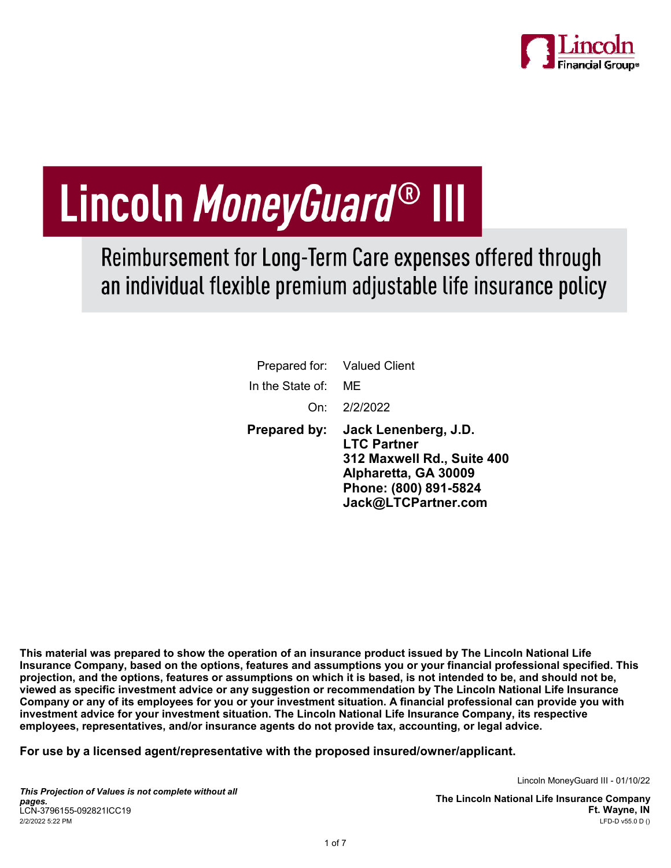

# Lincoln MoneyGuard® III

Reimbursement for Long-Term Care expenses offered through an individual flexible premium adjustable life insurance policy

|                  | Prepared for: Valued Client                                                                                                                      |
|------------------|--------------------------------------------------------------------------------------------------------------------------------------------------|
| In the State of: | MF                                                                                                                                               |
|                  | On: 2/2/2022                                                                                                                                     |
| Prepared by:     | Jack Lenenberg, J.D.<br><b>LTC Partner</b><br>312 Maxwell Rd., Suite 400<br>Alpharetta, GA 30009<br>Phone: (800) 891-5824<br>Jack@LTCPartner.com |

This material was prepared to show the operation of an insurance product issued by The Lincoln National Life Insurance Company, based on the options, features and assumptions you or your financial professional specified. This projection, and the options, features or assumptions on which it is based, is not intended to be, and should not be, viewed as specific investment advice or any suggestion or recommendation by The Lincoln National Life Insurance Company or any of its employees for you or your investment situation. A financial professional can provide you with investment advice for your investment situation. The Lincoln National Life Insurance Company, its respective employees, representatives, and/or insurance agents do not provide tax, accounting, or legal advice.

For use by a licensed agent/representative with the proposed insured/owner/applicant.

Lincoln MoneyGuard III - 01/10/22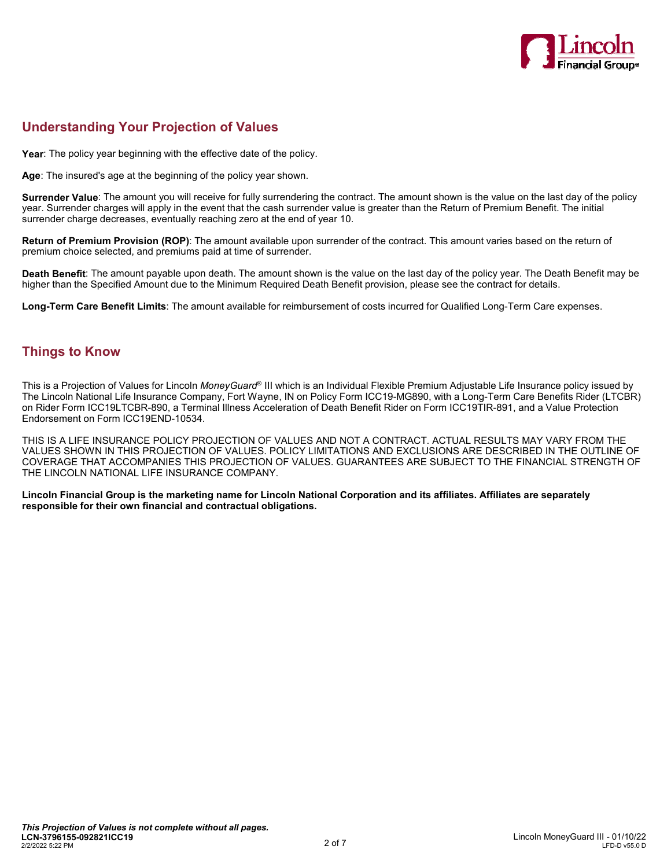

# Understanding Your Projection of Values

Year: The policy year beginning with the effective date of the policy.

Age: The insured's age at the beginning of the policy year shown.

Surrender Value: The amount you will receive for fully surrendering the contract. The amount shown is the value on the last day of the policy year. Surrender charges will apply in the event that the cash surrender value is greater than the Return of Premium Benefit. The initial surrender charge decreases, eventually reaching zero at the end of year 10.

Return of Premium Provision (ROP): The amount available upon surrender of the contract. This amount varies based on the return of premium choice selected, and premiums paid at time of surrender.

Death Benefit: The amount payable upon death. The amount shown is the value on the last day of the policy year. The Death Benefit may be higher than the Specified Amount due to the Minimum Required Death Benefit provision, please see the contract for details.

Long-Term Care Benefit Limits: The amount available for reimbursement of costs incurred for Qualified Long-Term Care expenses.

## Things to Know

This is a Projection of Values for Lincoln *MoneyGuard*® III which is an Individual Flexible Premium Adjustable Life Insurance policy issued by The Lincoln National Life Insurance Company, Fort Wayne, IN on Policy Form ICC19-MG890, with a Long-Term Care Benefits Rider (LTCBR) on Rider Form ICC19LTCBR-890, a Terminal Illness Acceleration of Death Benefit Rider on Form ICC19TIR-891, and a Value Protection Endorsement on Form ICC19END-10534.

THIS IS A LIFE INSURANCE POLICY PROJECTION OF VALUES AND NOT A CONTRACT. ACTUAL RESULTS MAY VARY FROM THE VALUES SHOWN IN THIS PROJECTION OF VALUES. POLICY LIMITATIONS AND EXCLUSIONS ARE DESCRIBED IN THE OUTLINE OF COVERAGE THAT ACCOMPANIES THIS PROJECTION OF VALUES. GUARANTEES ARE SUBJECT TO THE FINANCIAL STRENGTH OF THE LINCOLN NATIONAL LIFE INSURANCE COMPANY.

Lincoln Financial Group is the marketing name for Lincoln National Corporation and its affiliates. Affiliates are separately responsible for their own financial and contractual obligations.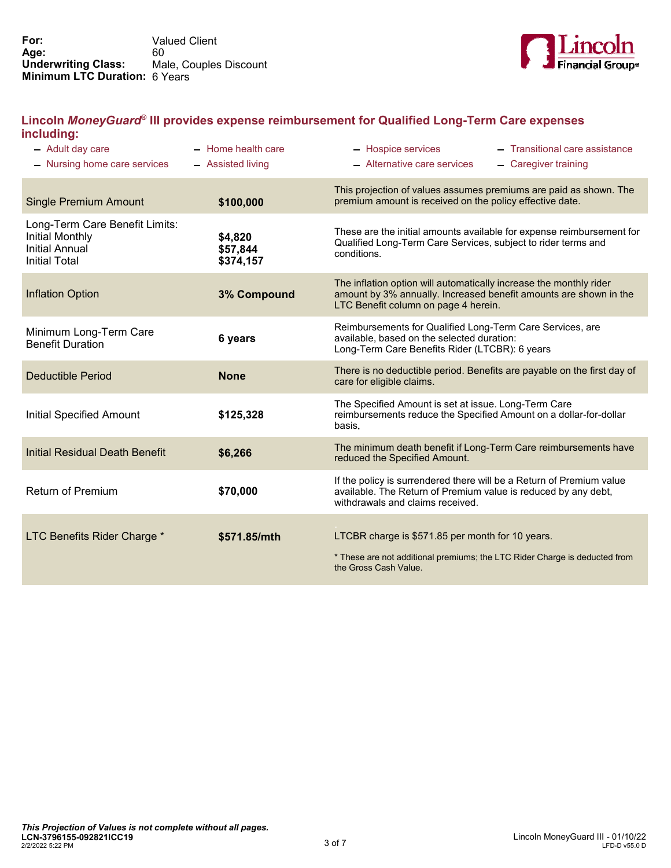

## Lincoln MoneyGuard® III provides expense reimbursement for Qualified Long-Term Care expenses including:

| - Adult day care<br>- Nursing home care services                                                          | $-$ Home health care<br>- Assisted living | - Transitional care assistance<br>- Hospice services<br>- Alternative care services<br>- Caregiver training                                                                     |
|-----------------------------------------------------------------------------------------------------------|-------------------------------------------|---------------------------------------------------------------------------------------------------------------------------------------------------------------------------------|
| <b>Single Premium Amount</b>                                                                              | \$100,000                                 | This projection of values assumes premiums are paid as shown. The<br>premium amount is received on the policy effective date.                                                   |
| Long-Term Care Benefit Limits:<br><b>Initial Monthly</b><br><b>Initial Annual</b><br><b>Initial Total</b> | \$4,820<br>\$57,844<br>\$374,157          | These are the initial amounts available for expense reimbursement for<br>Qualified Long-Term Care Services, subject to rider terms and<br>conditions.                           |
| <b>Inflation Option</b>                                                                                   | 3% Compound                               | The inflation option will automatically increase the monthly rider<br>amount by 3% annually. Increased benefit amounts are shown in the<br>LTC Benefit column on page 4 herein. |
| Minimum Long-Term Care<br><b>Benefit Duration</b>                                                         | 6 years                                   | Reimbursements for Qualified Long-Term Care Services, are<br>available, based on the selected duration:<br>Long-Term Care Benefits Rider (LTCBR): 6 years                       |
| <b>Deductible Period</b>                                                                                  | <b>None</b>                               | There is no deductible period. Benefits are payable on the first day of<br>care for eligible claims.                                                                            |
| <b>Initial Specified Amount</b>                                                                           | \$125,328                                 | The Specified Amount is set at issue. Long-Term Care<br>reimbursements reduce the Specified Amount on a dollar-for-dollar<br>basis.                                             |
| <b>Initial Residual Death Benefit</b>                                                                     | \$6,266                                   | The minimum death benefit if Long-Term Care reimbursements have<br>reduced the Specified Amount.                                                                                |
| <b>Return of Premium</b>                                                                                  | \$70,000                                  | If the policy is surrendered there will be a Return of Premium value<br>available. The Return of Premium value is reduced by any debt,<br>withdrawals and claims received.      |
| LTC Benefits Rider Charge *                                                                               | \$571.85/mth                              | LTCBR charge is \$571.85 per month for 10 years.<br>* These are not additional premiums; the LTC Rider Charge is deducted from<br>the Gross Cash Value.                         |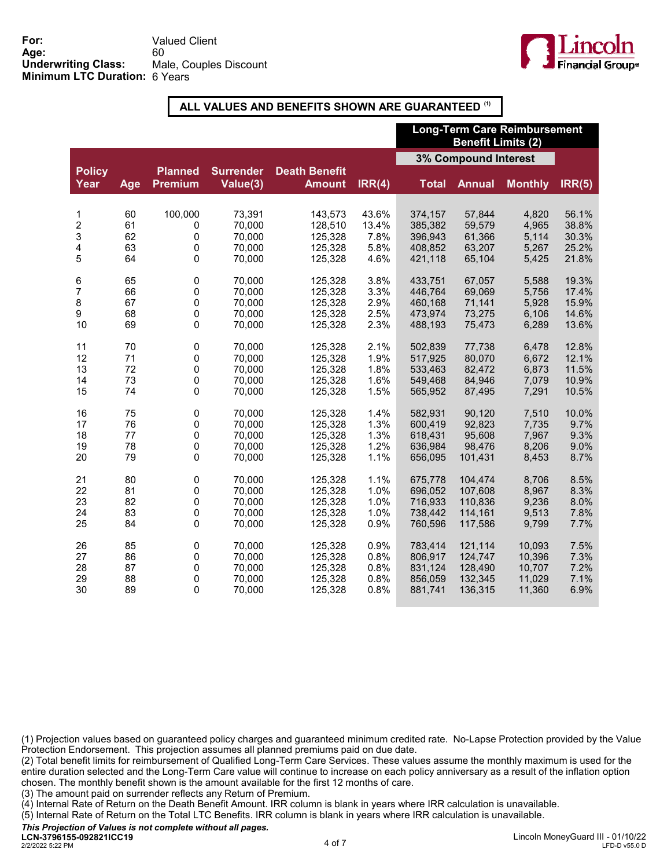

## ALL VALUES AND BENEFITS SHOWN ARE GUARANTEED (1)

|                         |     |                                  |                              |                                       |        | <b>Long-Term Care Reimbursement</b><br><b>Benefit Limits (2)</b> |               |                |        |
|-------------------------|-----|----------------------------------|------------------------------|---------------------------------------|--------|------------------------------------------------------------------|---------------|----------------|--------|
|                         |     |                                  |                              |                                       |        | 3% Compound Interest                                             |               |                |        |
| <b>Policy</b><br>Year   | Age | <b>Planned</b><br><b>Premium</b> | <b>Surrender</b><br>Value(3) | <b>Death Benefit</b><br><b>Amount</b> | IRR(4) | <b>Total</b>                                                     | <b>Annual</b> | <b>Monthly</b> | IRR(5) |
| 1                       | 60  | 100,000                          | 73,391                       | 143,573                               | 43.6%  | 374,157                                                          | 57,844        | 4,820          | 56.1%  |
| $\overline{\mathbf{c}}$ | 61  | 0                                | 70,000                       | 128,510                               | 13.4%  | 385,382                                                          | 59,579        | 4,965          | 38.8%  |
| 3                       | 62  | 0                                | 70,000                       | 125,328                               | 7.8%   | 396,943                                                          | 61,366        | 5,114          | 30.3%  |
| 4                       | 63  | 0                                | 70,000                       | 125,328                               | 5.8%   | 408,852                                                          | 63,207        | 5,267          | 25.2%  |
| 5                       | 64  | $\mathbf 0$                      | 70,000                       | 125,328                               | 4.6%   | 421,118                                                          | 65,104        | 5,425          | 21.8%  |
| 6                       | 65  | $\pmb{0}$                        | 70,000                       | 125,328                               | 3.8%   | 433,751                                                          | 67.057        | 5,588          | 19.3%  |
| $\overline{7}$          | 66  | $\pmb{0}$                        | 70,000                       | 125,328                               | 3.3%   | 446,764                                                          | 69,069        | 5,756          | 17.4%  |
| 8                       | 67  | $\mathbf 0$                      | 70,000                       | 125,328                               | 2.9%   | 460,168                                                          | 71,141        | 5,928          | 15.9%  |
| 9                       | 68  | $\pmb{0}$                        | 70,000                       | 125,328                               | 2.5%   | 473,974                                                          | 73,275        | 6,106          | 14.6%  |
| 10                      | 69  | $\mathbf 0$                      | 70,000                       | 125,328                               | 2.3%   | 488,193                                                          | 75,473        | 6,289          | 13.6%  |
| 11                      | 70  | $\pmb{0}$                        | 70,000                       | 125,328                               | 2.1%   | 502,839                                                          | 77,738        | 6,478          | 12.8%  |
| 12                      | 71  | 0                                | 70,000                       | 125,328                               | 1.9%   | 517,925                                                          | 80,070        | 6,672          | 12.1%  |
| 13                      | 72  | $\pmb{0}$                        | 70,000                       | 125,328                               | 1.8%   | 533,463                                                          | 82,472        | 6,873          | 11.5%  |
| 14                      | 73  | $\pmb{0}$                        | 70,000                       | 125,328                               | 1.6%   | 549,468                                                          | 84,946        | 7,079          | 10.9%  |
| 15                      | 74  | $\mathbf 0$                      | 70,000                       | 125,328                               | 1.5%   | 565,952                                                          | 87,495        | 7,291          | 10.5%  |
| 16                      | 75  | $\mathsf 0$                      | 70,000                       | 125,328                               | 1.4%   | 582,931                                                          | 90,120        | 7,510          | 10.0%  |
| 17                      | 76  | $\mathbf 0$                      | 70,000                       | 125,328                               | 1.3%   | 600,419                                                          | 92,823        | 7,735          | 9.7%   |
| 18                      | 77  | $\mathbf 0$                      | 70,000                       | 125,328                               | 1.3%   | 618,431                                                          | 95,608        | 7,967          | 9.3%   |
| 19                      | 78  | $\mathbf 0$                      | 70,000                       | 125,328                               | 1.2%   | 636,984                                                          | 98,476        | 8,206          | 9.0%   |
| 20                      | 79  | $\pmb{0}$                        | 70,000                       | 125,328                               | 1.1%   | 656,095                                                          | 101,431       | 8,453          | 8.7%   |
| 21                      | 80  | $\mathsf 0$                      | 70,000                       | 125,328                               | 1.1%   | 675,778                                                          | 104,474       | 8,706          | 8.5%   |
| 22                      | 81  | 0                                | 70,000                       | 125,328                               | 1.0%   | 696,052                                                          | 107,608       | 8,967          | 8.3%   |
| 23                      | 82  | 0                                | 70,000                       | 125,328                               | 1.0%   | 716,933                                                          | 110,836       | 9,236          | 8.0%   |
| 24                      | 83  | $\pmb{0}$                        | 70,000                       | 125,328                               | 1.0%   | 738,442                                                          | 114,161       | 9,513          | 7.8%   |
| 25                      | 84  | 0                                | 70,000                       | 125,328                               | 0.9%   | 760,596                                                          | 117,586       | 9,799          | 7.7%   |
| 26                      | 85  | $\pmb{0}$                        | 70,000                       | 125,328                               | 0.9%   | 783,414                                                          | 121,114       | 10,093         | 7.5%   |
| 27                      | 86  | $\pmb{0}$                        | 70,000                       | 125,328                               | 0.8%   | 806,917                                                          | 124,747       | 10,396         | 7.3%   |
| 28                      | 87  | $\mathsf 0$                      | 70,000                       | 125,328                               | 0.8%   | 831,124                                                          | 128,490       | 10,707         | 7.2%   |
| 29                      | 88  | 0                                | 70,000                       | 125,328                               | 0.8%   | 856,059                                                          | 132,345       | 11,029         | 7.1%   |
| 30                      | 89  | $\Omega$                         | 70,000                       | 125,328                               | 0.8%   | 881,741                                                          | 136,315       | 11,360         | 6.9%   |

(1) Projection values based on guaranteed policy charges and guaranteed minimum credited rate. No-Lapse Protection provided by the Value Protection Endorsement. This projection assumes all planned premiums paid on due date.

(2) Total benefit limits for reimbursement of Qualified Long-Term Care Services. These values assume the monthly maximum is used for the entire duration selected and the Long-Term Care value will continue to increase on each policy anniversary as a result of the inflation option chosen. The monthly benefit shown is the amount available for the first 12 months of care.

(3) The amount paid on surrender reflects any Return of Premium.

(4) Internal Rate of Return on the Death Benefit Amount. IRR column is blank in years where IRR calculation is unavailable.

(5) Internal Rate of Return on the Total LTC Benefits. IRR column is blank in years where IRR calculation is unavailable.

This Projection of Values is not complete without all pages.

2/2/2022 5:22 PM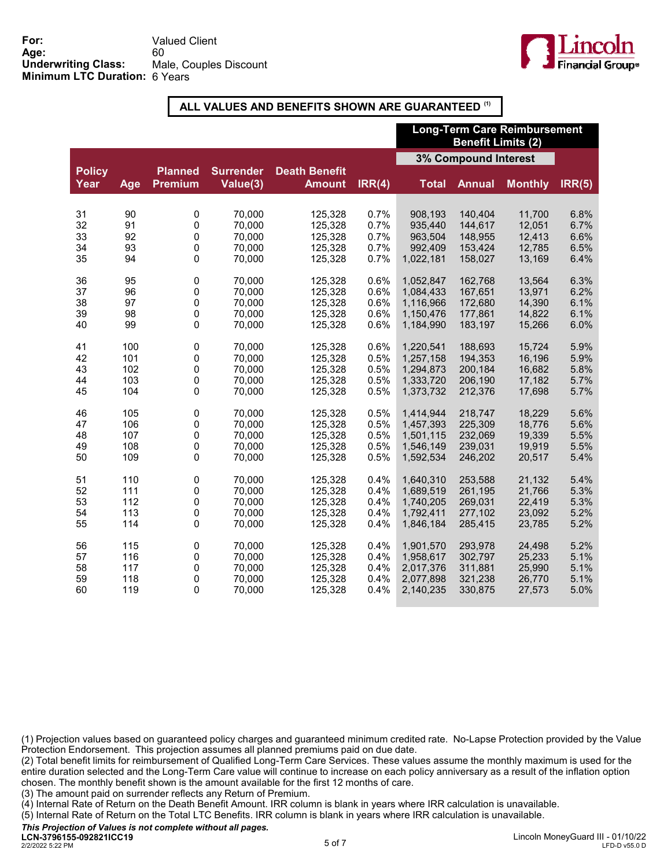

## ALL VALUES AND BENEFITS SHOWN ARE GUARANTEED (1)

|                       |     |                                  |                              |                                       |        | <b>Long-Term Care Reimbursement</b><br><b>Benefit Limits (2)</b> |               |                |        |
|-----------------------|-----|----------------------------------|------------------------------|---------------------------------------|--------|------------------------------------------------------------------|---------------|----------------|--------|
|                       |     |                                  |                              |                                       |        | <b>3% Compound Interest</b>                                      |               |                |        |
| <b>Policy</b><br>Year | Age | <b>Planned</b><br><b>Premium</b> | <b>Surrender</b><br>Value(3) | <b>Death Benefit</b><br><b>Amount</b> | IRR(4) | <b>Total</b>                                                     | <b>Annual</b> | <b>Monthly</b> | IRR(5) |
| 31                    | 90  | 0                                | 70,000                       | 125,328                               | 0.7%   | 908,193                                                          | 140,404       | 11,700         | 6.8%   |
| 32                    | 91  | 0                                | 70,000                       | 125,328                               | 0.7%   | 935,440                                                          | 144,617       | 12,051         | 6.7%   |
| 33                    | 92  | 0                                | 70,000                       | 125,328                               | 0.7%   | 963,504                                                          | 148,955       | 12,413         | 6.6%   |
| 34                    | 93  | 0                                | 70,000                       | 125,328                               | 0.7%   | 992,409                                                          | 153.424       | 12,785         | 6.5%   |
| 35                    | 94  | 0                                | 70,000                       | 125,328                               | 0.7%   | 1,022,181                                                        | 158,027       | 13,169         | 6.4%   |
| 36                    | 95  | 0                                | 70,000                       | 125,328                               | 0.6%   | 1,052,847                                                        | 162.768       | 13,564         | 6.3%   |
| 37                    | 96  | 0                                | 70,000                       | 125,328                               | 0.6%   | 1,084,433                                                        | 167.651       | 13,971         | 6.2%   |
| 38                    | 97  | 0                                | 70,000                       | 125,328                               | 0.6%   | 1,116,966                                                        | 172,680       | 14,390         | 6.1%   |
| 39                    | 98  | 0                                | 70,000                       | 125,328                               | 0.6%   | 1,150,476                                                        | 177,861       | 14,822         | 6.1%   |
| 40                    | 99  | 0                                | 70,000                       | 125,328                               | 0.6%   | 1,184,990                                                        | 183,197       | 15,266         | 6.0%   |
| 41                    | 100 | 0                                | 70,000                       | 125,328                               | 0.6%   | 1,220,541                                                        | 188,693       | 15,724         | 5.9%   |
| 42                    | 101 | 0                                | 70,000                       | 125,328                               | 0.5%   | 1,257,158                                                        | 194,353       | 16,196         | 5.9%   |
| 43                    | 102 | 0                                | 70,000                       | 125,328                               | 0.5%   | 1,294,873                                                        | 200,184       | 16,682         | 5.8%   |
| 44                    | 103 | 0                                | 70,000                       | 125,328                               | 0.5%   | 1,333,720                                                        | 206,190       | 17,182         | 5.7%   |
| 45                    | 104 | 0                                | 70,000                       | 125,328                               | 0.5%   | 1,373,732                                                        | 212,376       | 17,698         | 5.7%   |
| 46                    | 105 | 0                                | 70,000                       | 125,328                               | 0.5%   | 1,414,944                                                        | 218,747       | 18,229         | 5.6%   |
| 47                    | 106 | 0                                | 70,000                       | 125,328                               | 0.5%   | 1,457,393                                                        | 225,309       | 18,776         | 5.6%   |
| 48                    | 107 | 0                                | 70,000                       | 125,328                               | 0.5%   | 1,501,115                                                        | 232,069       | 19,339         | 5.5%   |
| 49                    | 108 | 0                                | 70,000                       | 125,328                               | 0.5%   | 1,546,149                                                        | 239,031       | 19,919         | 5.5%   |
| 50                    | 109 | 0                                | 70,000                       | 125,328                               | 0.5%   | 1,592,534                                                        | 246,202       | 20,517         | 5.4%   |
| 51                    | 110 | 0                                | 70,000                       | 125,328                               | 0.4%   | 1,640,310                                                        | 253,588       | 21,132         | 5.4%   |
| 52                    | 111 | 0                                | 70,000                       | 125,328                               | 0.4%   | 1,689,519                                                        | 261,195       | 21,766         | 5.3%   |
| 53                    | 112 | 0                                | 70,000                       | 125,328                               | 0.4%   | 1,740,205                                                        | 269,031       | 22,419         | 5.3%   |
| 54                    | 113 | 0                                | 70,000                       | 125,328                               | 0.4%   | 1,792,411                                                        | 277,102       | 23,092         | 5.2%   |
| 55                    | 114 | 0                                | 70,000                       | 125,328                               | 0.4%   | 1,846,184                                                        | 285,415       | 23,785         | 5.2%   |
| 56                    | 115 | 0                                | 70,000                       | 125,328                               | 0.4%   | 1,901,570                                                        | 293,978       | 24,498         | 5.2%   |
| 57                    | 116 | 0                                | 70,000                       | 125,328                               | 0.4%   | 1,958,617                                                        | 302,797       | 25,233         | 5.1%   |
| 58                    | 117 | 0                                | 70,000                       | 125,328                               | 0.4%   | 2,017,376                                                        | 311,881       | 25,990         | 5.1%   |
| 59                    | 118 | 0                                | 70,000                       | 125,328                               | 0.4%   | 2,077,898                                                        | 321,238       | 26,770         | 5.1%   |
| 60                    | 119 | $\Omega$                         | 70,000                       | 125,328                               | 0.4%   | 2,140,235                                                        | 330,875       | 27,573         | 5.0%   |

(1) Projection values based on guaranteed policy charges and guaranteed minimum credited rate. No-Lapse Protection provided by the Value Protection Endorsement. This projection assumes all planned premiums paid on due date.

(2) Total benefit limits for reimbursement of Qualified Long-Term Care Services. These values assume the monthly maximum is used for the entire duration selected and the Long-Term Care value will continue to increase on each policy anniversary as a result of the inflation option chosen. The monthly benefit shown is the amount available for the first 12 months of care.

(3) The amount paid on surrender reflects any Return of Premium.

(4) Internal Rate of Return on the Death Benefit Amount. IRR column is blank in years where IRR calculation is unavailable.

(5) Internal Rate of Return on the Total LTC Benefits. IRR column is blank in years where IRR calculation is unavailable.

This Projection of Values is not complete without all pages.

2/2/2022 5:22 PM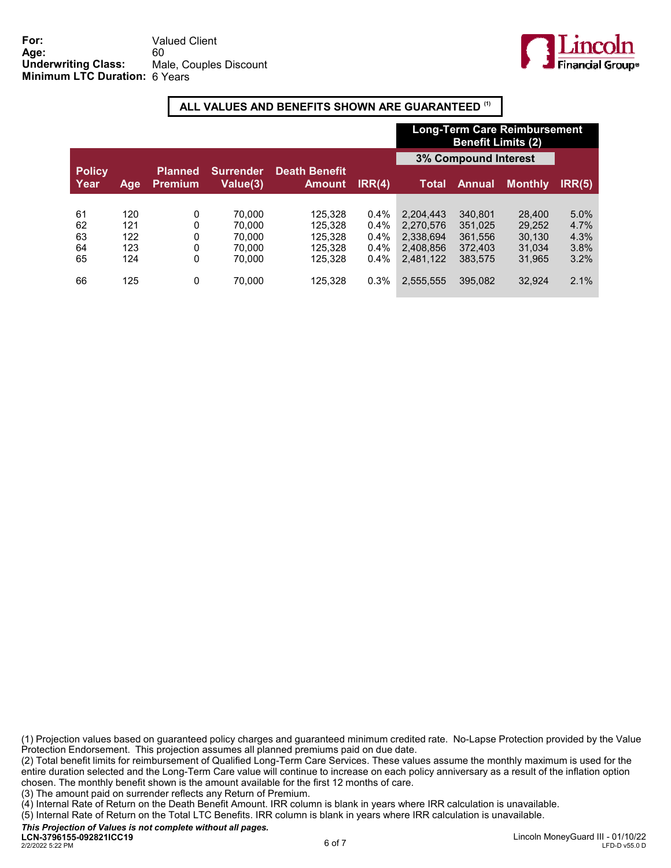

## ALL VALUES AND BENEFITS SHOWN ARE GUARANTEED (1)

|                       |     |                                  |                              |                                       |        | <b>Long-Term Care Reimbursement</b><br><b>Benefit Limits (2)</b> |               |                |        |
|-----------------------|-----|----------------------------------|------------------------------|---------------------------------------|--------|------------------------------------------------------------------|---------------|----------------|--------|
|                       |     |                                  |                              |                                       |        | <b>3% Compound Interest</b>                                      |               |                |        |
| <b>Policy</b><br>Year | Age | <b>Planned</b><br><b>Premium</b> | <b>Surrender</b><br>Value(3) | <b>Death Benefit</b><br><b>Amount</b> | IRR(4) | Total                                                            | <b>Annual</b> | <b>Monthly</b> | IRR(5) |
|                       |     |                                  |                              |                                       |        |                                                                  |               |                |        |
| 61                    | 120 | 0                                | 70.000                       | 125.328                               | 0.4%   | 2,204,443                                                        | 340.801       | 28,400         | 5.0%   |
| 62                    | 121 | 0                                | 70.000                       | 125.328                               | 0.4%   | 2.270.576                                                        | 351,025       | 29.252         | 4.7%   |
| 63                    | 122 | 0                                | 70.000                       | 125.328                               | 0.4%   | 2.338.694                                                        | 361.556       | 30.130         | 4.3%   |
| 64                    | 123 | 0                                | 70.000                       | 125.328                               | 0.4%   | 2.408.856                                                        | 372.403       | 31.034         | 3.8%   |
| 65                    | 124 | 0                                | 70.000                       | 125.328                               | 0.4%   | 2.481.122                                                        | 383.575       | 31.965         | 3.2%   |
| 66                    | 125 | 0                                | 70.000                       | 125,328                               | 0.3%   | 2,555,555                                                        | 395.082       | 32.924         | 2.1%   |

(1) Projection values based on guaranteed policy charges and guaranteed minimum credited rate. No-Lapse Protection provided by the Value Protection Endorsement. This projection assumes all planned premiums paid on due date.

(2) Total benefit limits for reimbursement of Qualified Long-Term Care Services. These values assume the monthly maximum is used for the entire duration selected and the Long-Term Care value will continue to increase on each policy anniversary as a result of the inflation option chosen. The monthly benefit shown is the amount available for the first 12 months of care.

(3) The amount paid on surrender reflects any Return of Premium.

(4) Internal Rate of Return on the Death Benefit Amount. IRR column is blank in years where IRR calculation is unavailable.

(5) Internal Rate of Return on the Total LTC Benefits. IRR column is blank in years where IRR calculation is unavailable.

This Projection of Values is not complete without all pages.

2/2/2022 5:22 PM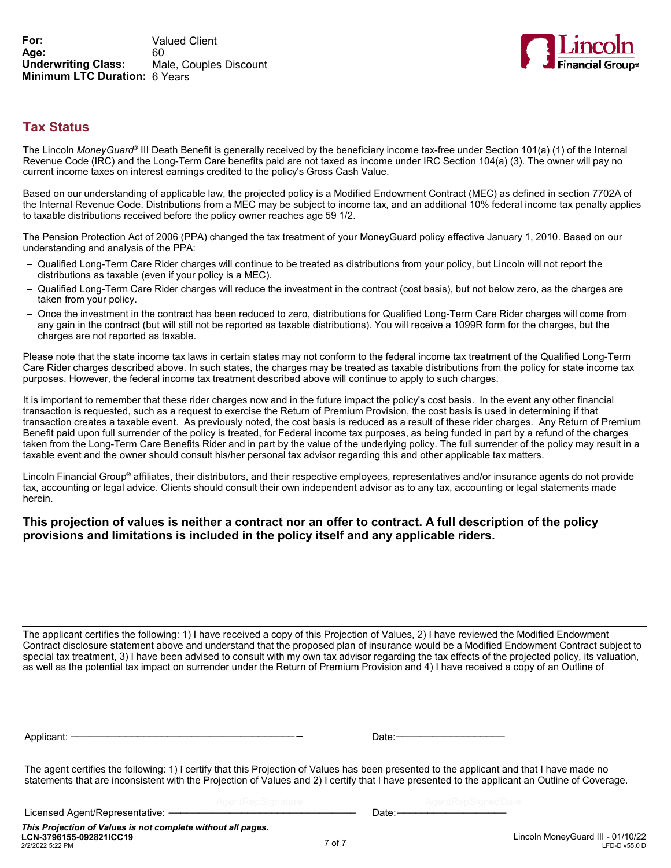

# Tax Status

The Lincoln *MoneyGuard*® III Death Benefit is generally received by the beneficiary income tax-free under Section 101(a) (1) of the Internal Revenue Code (IRC) and the Long-Term Care benefits paid are not taxed as income under IRC Section 104(a) (3). The owner will pay no current income taxes on interest earnings credited to the policy's Gross Cash Value.

Based on our understanding of applicable law, the projected policy is a Modified Endowment Contract (MEC) as defined in section 7702A of the Internal Revenue Code. Distributions from a MEC may be subject to income tax, and an additional 10% federal income tax penalty applies to taxable distributions received before the policy owner reaches age 59 1/2.

The Pension Protection Act of 2006 (PPA) changed the tax treatment of your MoneyGuard policy effective January 1, 2010. Based on our understanding and analysis of the PPA:

- Qualified Long-Term Care Rider charges will continue to be treated as distributions from your policy, but Lincoln will not report the distributions as taxable (even if your policy is a MEC).
- Qualified Long-Term Care Rider charges will reduce the investment in the contract (cost basis), but not below zero, as the charges are taken from your policy.
- Once the investment in the contract has been reduced to zero, distributions for Qualified Long-Term Care Rider charges will come from any gain in the contract (but will still not be reported as taxable distributions). You will receive a 1099R form for the charges, but the charges are not reported as taxable.

Please note that the state income tax laws in certain states may not conform to the federal income tax treatment of the Qualified Long-Term Care Rider charges described above. In such states, the charges may be treated as taxable distributions from the policy for state income tax purposes. However, the federal income tax treatment described above will continue to apply to such charges.

It is important to remember that these rider charges now and in the future impact the policy's cost basis. In the event any other financial transaction is requested, such as a request to exercise the Return of Premium Provision, the cost basis is used in determining if that transaction creates a taxable event. As previously noted, the cost basis is reduced as a result of these rider charges. Any Return of Premium Benefit paid upon full surrender of the policy is treated, for Federal income tax purposes, as being funded in part by a refund of the charges taken from the Long-Term Care Benefits Rider and in part by the value of the underlying policy. The full surrender of the policy may result in a taxable event and the owner should consult his/her personal tax advisor regarding this and other applicable tax matters.

Lincoln Financial Group® affiliates, their distributors, and their respective employees, representatives and/or insurance agents do not provide tax, accounting or legal advice. Clients should consult their own independent advisor as to any tax, accounting or legal statements made herein.

### This projection of values is neither a contract nor an offer to contract. A full description of the policy provisions and limitations is included in the policy itself and any applicable riders.

The applicant certifies the following: 1) I have received a copy of this Projection of Values, 2) I have reviewed the Modified Endowment Contract disclosure statement above and understand that the proposed plan of insurance would be a Modified Endowment Contract subject to special tax treatment, 3) I have been advised to consult with my own tax advisor regarding the tax effects of the projected policy, its valuation, as well as the potential tax impact on surrender under the Return of Premium Provision and 4) I have received a copy of an Outline of

The agent certifies the following: 1) I certify that this Projection of Values has been presented to the applicant and that I have made no statements that are inconsistent with the Projection of Values and 2) I certify that I have presented to the applicant an Outline of Coverage.

Licensed Agent/Representative: —————————————————————————Date:-

\_\_\_\_\_\_\_\_\_\_\_\_\_\_\_\_\_\_\_\_\_\_\_\_\_\_\_\_\_\_\_ \_\_\_\_\_\_\_\_\_\_\_\_\_\_\_\_\_\_

2/2/2022 5:22 PM This Projection of Values is not complete without all pages.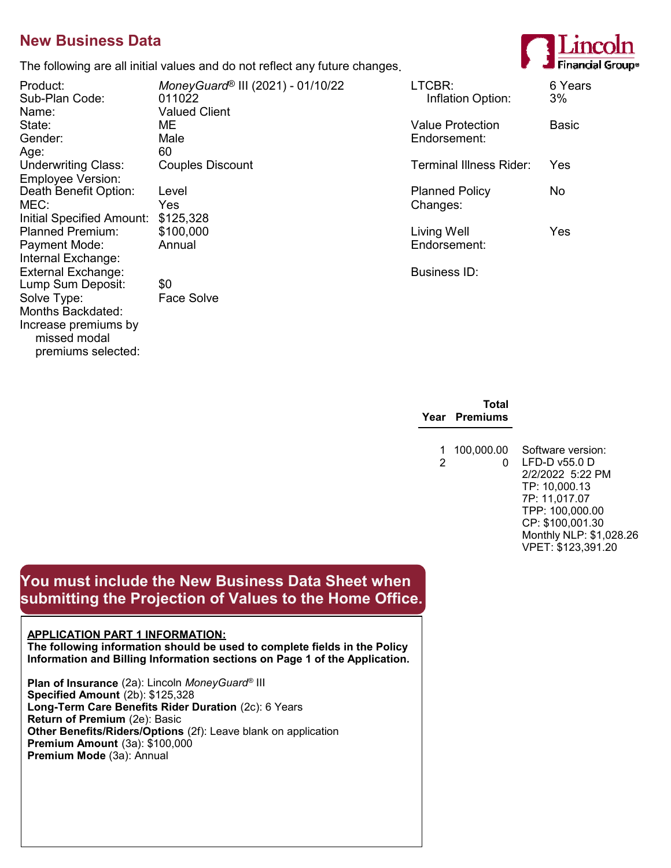# New Business Data

The following are all initial values and do not reflect any future changes.

Sub-Plan Code: Name: Valued Client Age: 60<br>Underwriting Class: Couples Discount Underwriting Class: Employee Version: Death Benefit Option: Level<br>MEC: Yes Initial Specified Amount: \$125,328 Planned Premium: \$100,000 Payment Mode: Annual Internal Exchange: External Exchange: Business ID: Lump Sum Deposit: Solve Type: Face Solve Months Backdated: Increase premiums by missed modal premiums selected:

Product: MoneyGuard<sup>®</sup> III (2021) - 01/10/22<br>Sub-Plan Code: 611022 Gender: Male Endorsement: MEC: Yes Changes:

|                                     | THE TUILUMING ALE AIL INITIAL VALUES AND TO HUL FENECT ANY TURNED CHANGES. |                             | .             |
|-------------------------------------|----------------------------------------------------------------------------|-----------------------------|---------------|
| Product:<br>Sub-Plan Code:<br>Name: | MoneyGuard® III (2021) - 01/10/22<br>011022<br><b>Valued Client</b>        | LTCBR:<br>Inflation Option: | 6 Years<br>3% |
| State:                              | ME.                                                                        | <b>Value Protection</b>     | <b>Basic</b>  |
| Gender:                             | Male                                                                       | Endorsement:                |               |
| Age:                                | 60                                                                         |                             |               |
| <b>Underwriting Class:</b>          | <b>Couples Discount</b>                                                    | Terminal Illness Rider:     | Yes           |
| <b>Employee Version:</b>            |                                                                            |                             |               |
| Death Benefit Option:               | Level                                                                      | <b>Planned Policy</b>       | No            |
| MEC:                                | <b>Yes</b>                                                                 | Changes:                    |               |
| Initial Specified Amount:           | \$125,328                                                                  |                             |               |
| Planned Premium:                    | \$100,000                                                                  | Living Well                 | Yes           |
| Payment Mode:                       | Annual                                                                     | Endorsement:                |               |
| Internal Exchange:                  |                                                                            |                             |               |
| External Exchange:                  |                                                                            | <b>Business ID:</b>         |               |
|                                     | ^^                                                                         |                             |               |

| TOtal<br>Year Premiums     |         |
|----------------------------|---------|
| 1 100.000.00 Softwar<br>0. | $LFD-D$ |

Total

0 LFD-D v55.0 D e version: 2/2/2022 5:22 PM TP: 10,000.13 7P: 11,017.07 TPP: 100,000.00 CP: \$100,001.30 Monthly NLP: \$1,028.26 VPET: \$123,391.20

# You must include the New Business Data Sheet when submitting the Projection of Values to the Home Office.

## APPLICATION PART 1 INFORMATION:

The following information should be used to complete fields in the Policy Information and Billing Information sections on Page 1 of the Application.

Plan of Insurance (2a): Lincoln MoneyGuard® III Specified Amount (2b): \$125,328 Long-Term Care Benefits Rider Duration (2c): 6 Years Return of Premium (2e): Basic Other Benefits/Riders/Options (2f): Leave blank on application Premium Amount (3a): \$100,000 Premium Mode (3a): Annual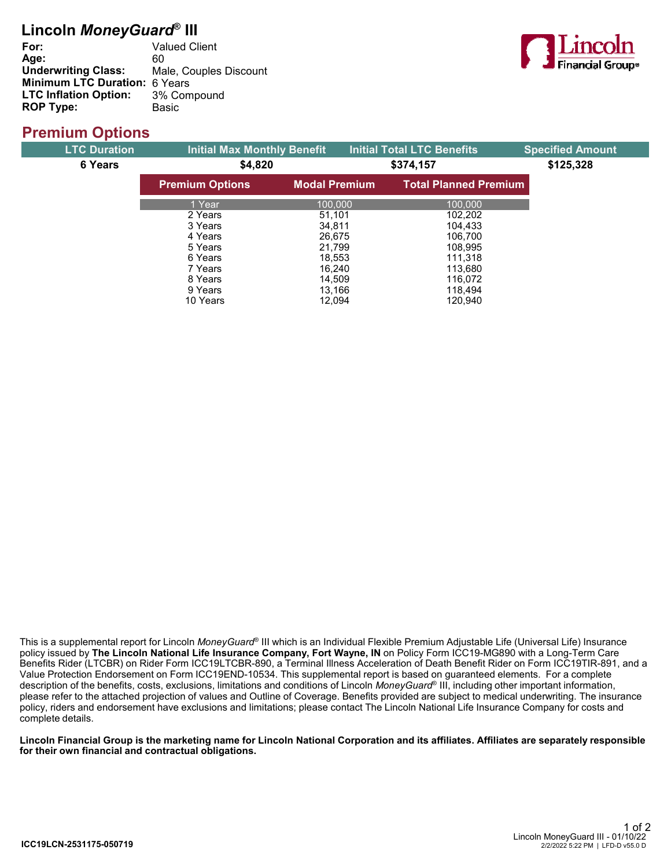# Lincoln *MoneyGuard*® III

| <b>Valued Client</b>              |
|-----------------------------------|
| 60                                |
| Male, Couples Discount            |
| Minimum LTC Duration: 6 Years     |
| LTC Inflation Option: 3% Compound |
| <b>Basic</b>                      |
|                                   |



# Premium Options

| <b>LTC Duration</b> | <b>Initial Max Monthly Benefit</b> |                      |  | <b>Initial Total LTC Benefits</b> | <b>Specified Amount</b> |
|---------------------|------------------------------------|----------------------|--|-----------------------------------|-------------------------|
| 6 Years             | \$4,820                            |                      |  | \$374,157                         | \$125,328               |
|                     | <b>Premium Options</b>             | <b>Modal Premium</b> |  | <b>Total Planned Premium</b>      |                         |
|                     | 1 Year                             | 100.000              |  | 100.000                           |                         |
|                     | 2 Years                            | 51,101               |  | 102,202                           |                         |
|                     | 3 Years                            | 34.811               |  | 104,433                           |                         |
|                     | 4 Years                            | 26,675               |  | 106,700                           |                         |
|                     | 5 Years                            | 21.799               |  | 108,995                           |                         |
|                     | 6 Years                            | 18,553               |  | 111,318                           |                         |
|                     | 7 Years                            | 16,240               |  | 113,680                           |                         |
|                     | 8 Years                            | 14.509               |  | 116.072                           |                         |
|                     | 9 Years                            | 13.166               |  | 118,494                           |                         |
|                     | 10 Years                           | 12.094               |  | 120.940                           |                         |

This is a supplemental report for Lincoln *MoneyGuard*® III which is an Individual Flexible Premium Adjustable Life (Universal Life) Insurance policy issued by The Lincoln National Life Insurance Company, Fort Wayne, IN on Policy Form ICC19-MG890 with a Long-Term Care Benefits Rider (LTCBR) on Rider Form ICC19LTCBR-890, a Terminal Illness Acceleration of Death Benefit Rider on Form ICC19TIR-891, and a Value Protection Endorsement on Form ICC19END-10534. This supplemental report is based on guaranteed elements. For a complete description of the benefits, costs, exclusions, limitations and conditions of Lincoln *MoneyGuard*® III, including other important information, please refer to the attached projection of values and Outline of Coverage. Benefits provided are subject to medical underwriting. The insurance policy, riders and endorsement have exclusions and limitations; please contact The Lincoln National Life Insurance Company for costs and complete details.

Lincoln Financial Group is the marketing name for Lincoln National Corporation and its affiliates. Affiliates are separately responsible for their own financial and contractual obligations.